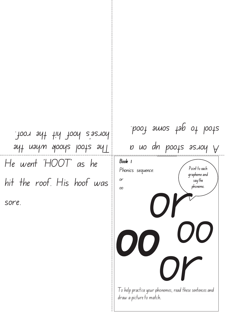He went 'HOOT' as he hit the roof. His hoof was sore. ay uaym apoys pools ay horse's hoof hit the roof.

I o help practise your phonemes, read these sentences and draw a picture to match. Point to each grapheme and say the phoneme. Book 1 Phonics sequence: or oo oo OFFICERS CONTROLLER<br>Onemes, read these sentence Or<sup>se</sup> oo  $\nu$  uo dn poofs senoy  $\nu$ 

poof amos tap ot loots.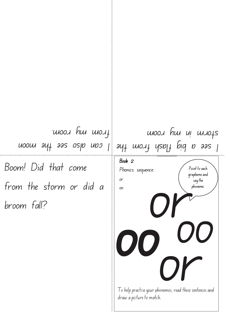Boom! Did that come from the storm or did a broom fall? I can also see the moon from my room.

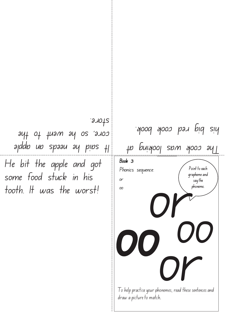He bit the apple and got some food stuck in his tooth. It was the worst! apddo un spaau ay pins tl core, so he went to the store.